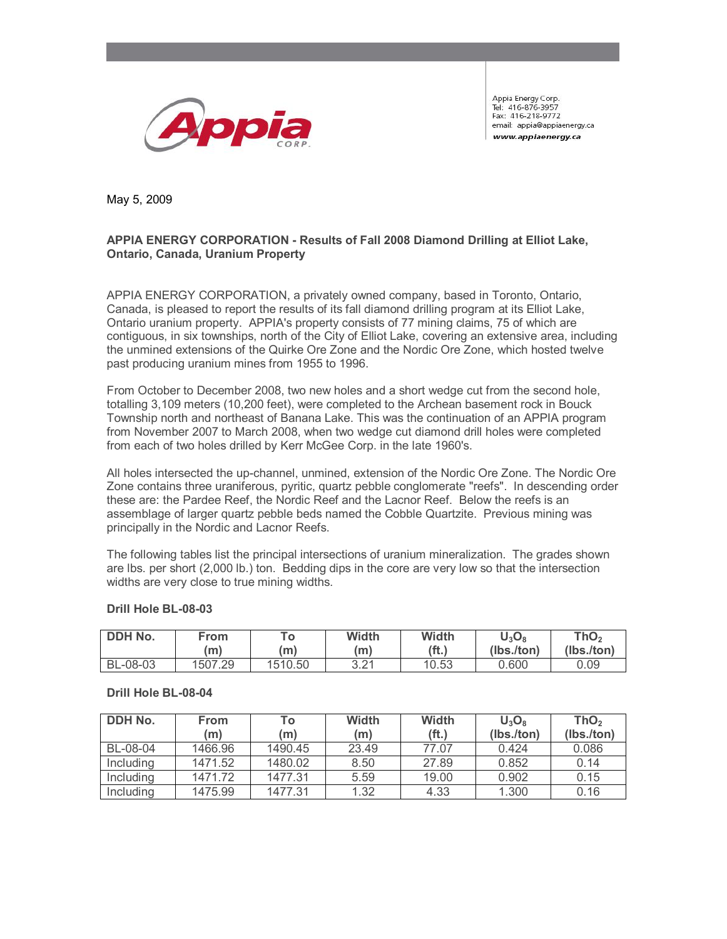

Appia Energy Corp. Tel: 416-876-3957 Fax: 416-218-9772 email: appia@appiaenergy.ca www.appiaenergy.ca

May 5, 2009

# **APPIA ENERGY CORPORATION - Results of Fall 2008 Diamond Drilling at Elliot Lake, Ontario, Canada, Uranium Property**

APPIA ENERGY CORPORATION, a privately owned company, based in Toronto, Ontario, Canada, is pleased to report the results of its fall diamond drilling program at its Elliot Lake, Ontario uranium property. APPIA's property consists of 77 mining claims, 75 of which are contiguous, in six townships, north of the City of Elliot Lake, covering an extensive area, including the unmined extensions of the Quirke Ore Zone and the Nordic Ore Zone, which hosted twelve past producing uranium mines from 1955 to 1996.

From October to December 2008, two new holes and a short wedge cut from the second hole, totalling 3,109 meters (10,200 feet), were completed to the Archean basement rock in Bouck Township north and northeast of Banana Lake. This was the continuation of an APPIA program from November 2007 to March 2008, when two wedge cut diamond drill holes were completed from each of two holes drilled by Kerr McGee Corp. in the late 1960's.

All holes intersected the up-channel, unmined, extension of the Nordic Ore Zone. The Nordic Ore Zone contains three uraniferous, pyritic, quartz pebble conglomerate "reefs". In descending order these are: the Pardee Reef, the Nordic Reef and the Lacnor Reef. Below the reefs is an assemblage of larger quartz pebble beds named the Cobble Quartzite. Previous mining was principally in the Nordic and Lacnor Reefs.

The following tables list the principal intersections of uranium mineralization. The grades shown are lbs. per short (2,000 lb.) ton. Bedding dips in the core are very low so that the intersection widths are very close to true mining widths.

| DDH No.  | From    | $T_{\Omega}$ | Width | Width             | $\mathsf{U}_3\mathsf{O}_8$ | ThO <sub>2</sub> |
|----------|---------|--------------|-------|-------------------|----------------------------|------------------|
|          | (m)     | (m)          | 'm)   | (f <sub>t</sub> ) | (lbs./ton)                 | (Ibs./ton)       |
| BL-08-03 | 1507.29 | 1510.50      | 3.21  | 10.53             | 0.600                      | 0.09             |

## **Drill Hole BL-08-03**

#### **Drill Hole BL-08-04**

| DDH No.   | <b>From</b> | То      | <b>Width</b> | Width             | $U_3O_8$   | ThO <sub>2</sub> |
|-----------|-------------|---------|--------------|-------------------|------------|------------------|
|           | (m)         | (m)     | (m)          | (f <sub>t</sub> ) | (lbs./ton) | (lbs./ton)       |
| BL-08-04  | 1466.96     | 1490.45 | 23.49        | 77.07             | 0.424      | 0.086            |
| Including | 1471.52     | 1480.02 | 8.50         | 27.89             | 0.852      | 0.14             |
| Including | 1471.72     | 1477.31 | 5.59         | 19.00             | 0.902      | 0.15             |
| Including | 1475.99     | 1477.31 | 1.32         | 4.33              | 1.300      | 0.16             |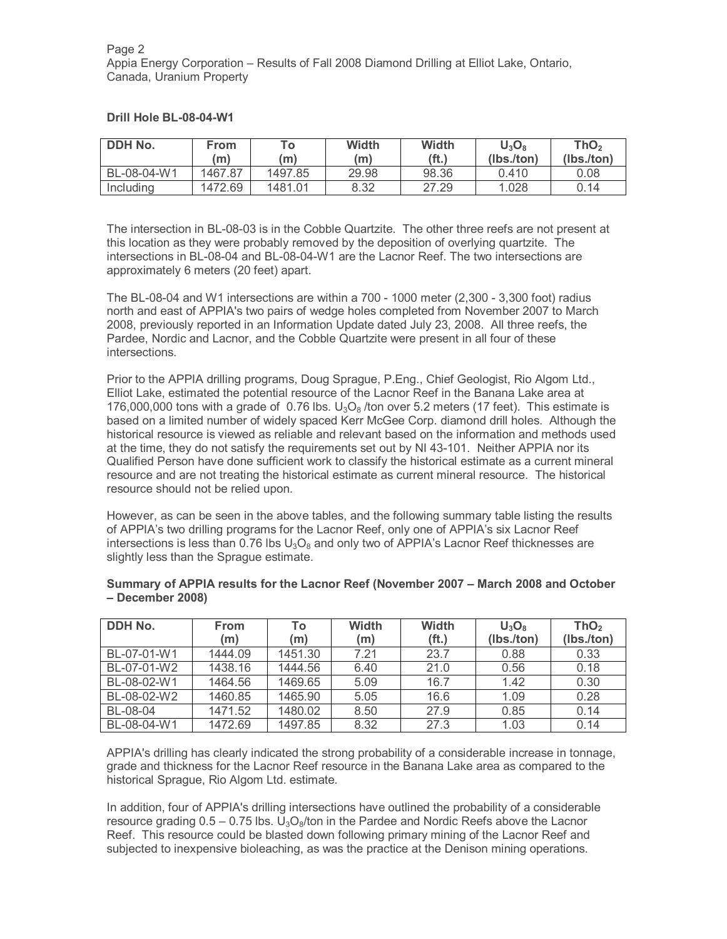| DDH No.     | From<br>'mì | To:<br>(m) | <b>Width</b><br>(m) | Width<br>(ft.) | $U_3O_8$<br>(lbs./ton) | ThO <sub>2</sub><br>(lbs./ton) |
|-------------|-------------|------------|---------------------|----------------|------------------------|--------------------------------|
| BL-08-04-W1 | 1467.87     | 1497.85    | 29.98               | 98.36          | 0.410                  | 0.08                           |
| Including   | 1472.69     | 1481.01    | 8.32                | 27.29          | 1.028                  | 0.14                           |

## **Drill Hole BL-08-04-W1**

The intersection in BL-08-03 is in the Cobble Quartzite. The other three reefs are not present at this location as they were probably removed by the deposition of overlying quartzite. The intersections in BL-08-04 and BL-08-04-W1 are the Lacnor Reef. The two intersections are approximately 6 meters (20 feet) apart.

The BL-08-04 and W1 intersections are within a 700 - 1000 meter (2,300 - 3,300 foot) radius north and east of APPIA's two pairs of wedge holes completed from November 2007 to March 2008, previously reported in an Information Update dated July 23, 2008. All three reefs, the Pardee, Nordic and Lacnor, and the Cobble Quartzite were present in all four of these intersections.

Prior to the APPIA drilling programs, Doug Sprague, P.Eng., Chief Geologist, Rio Algom Ltd., Elliot Lake, estimated the potential resource of the Lacnor Reef in the Banana Lake area at 176,000,000 tons with a grade of 0.76 lbs.  $U_3O_8$  /ton over 5.2 meters (17 feet). This estimate is based on a limited number of widely spaced Kerr McGee Corp. diamond drill holes. Although the historical resource is viewed as reliable and relevant based on the information and methods used at the time, they do not satisfy the requirements set out by NI 43-101. Neither APPIA nor its Qualified Person have done sufficient work to classify the historical estimate as a current mineral resource and are not treating the historical estimate as current mineral resource. The historical resource should not be relied upon.

However, as can be seen in the above tables, and the following summary table listing the results of APPIA's two drilling programs for the Lacnor Reef, only one of APPIA's six Lacnor Reef intersections is less than 0.76 lbs  $U_3O_8$  and only two of APPIA's Lacnor Reef thicknesses are slightly less than the Sprague estimate.

| DDH No.     | <b>From</b><br>(m) | To<br>(m) | <b>Width</b><br>(m) | <b>Width</b><br>(f <sub>t</sub> ) | $U_3O_8$<br>(lbs./ton) | ThO <sub>2</sub><br>(lbs./ton) |
|-------------|--------------------|-----------|---------------------|-----------------------------------|------------------------|--------------------------------|
| BL-07-01-W1 | 1444.09            | 1451.30   | 7.21                | 23.7                              | 0.88                   | 0.33                           |
| BL-07-01-W2 | 1438.16            | 1444.56   | 6.40                | 21.0                              | 0.56                   | 0.18                           |
| BL-08-02-W1 | 1464.56            | 1469.65   | 5.09                | 16.7                              | 1.42                   | 0.30                           |
| BL-08-02-W2 | 1460.85            | 1465.90   | 5.05                | 16.6                              | 1.09                   | 0.28                           |
| BL-08-04    | 1471.52            | 1480.02   | 8.50                | 27.9                              | 0.85                   | 0.14                           |
| BL-08-04-W1 | 1472.69            | 1497.85   | 8.32                | 27.3                              | 1.03                   | 0.14                           |

#### **Summary of APPIA results for the Lacnor Reef (November 2007 – March 2008 and October – December 2008)**

APPIA's drilling has clearly indicated the strong probability of a considerable increase in tonnage, grade and thickness for the Lacnor Reef resource in the Banana Lake area as compared to the historical Sprague, Rio Algom Ltd. estimate.

In addition, four of APPIA's drilling intersections have outlined the probability of a considerable resource grading  $0.5 - 0.75$  lbs.  $U_3O_8$ /ton in the Pardee and Nordic Reefs above the Lacnor Reef. This resource could be blasted down following primary mining of the Lacnor Reef and subjected to inexpensive bioleaching, as was the practice at the Denison mining operations.